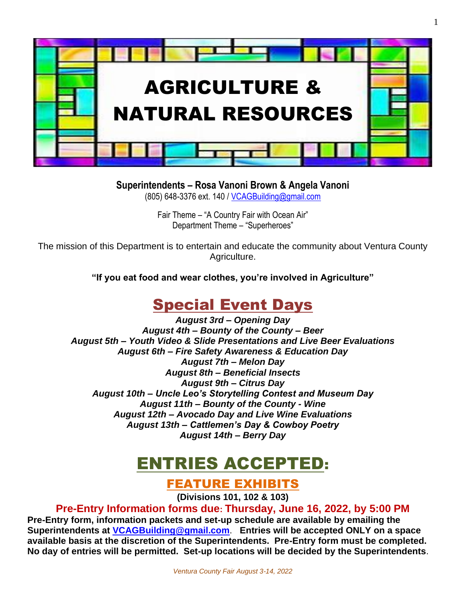

1

## **Superintendents – Rosa Vanoni Brown & Angela Vanoni**

(805) 648-3376 ext. 140 / [VCAGBuilding@gmail.com](mailto:VCAGBuilding@gmail.com)

Fair Theme – "A Country Fair with Ocean Air" Department Theme – "Superheroes"

The mission of this Department is to entertain and educate the community about Ventura County Agriculture.

**"If you eat food and wear clothes, you're involved in Agriculture"**

# Special Event Days

*August 3rd – Opening Day August 4th – Bounty of the County – Beer August 5th – Youth Video & Slide Presentations and Live Beer Evaluations August 6th – Fire Safety Awareness & Education Day August 7th – Melon Day August 8th – Beneficial Insects August 9th – Citrus Day August 10th – Uncle Leo's Storytelling Contest and Museum Day August 11th – Bounty of the County - Wine August 12th – Avocado Day and Live Wine Evaluations August 13th – Cattlemen's Day & Cowboy Poetry August 14th – Berry Day*

# ENTRIES ACCEPTED:

FEATURE EXHIBITS

**(Divisions 101, 102 & 103)**

**Pre-Entry Information forms due: Thursday, June 16, 2022, by 5:00 PM Pre-Entry form, information packets and set-up schedule are available by emailing the Superintendents at [VCAGBuilding@gmail.com](mailto:VCAGBuilding@gmail.com)**. **Entries will be accepted ONLY on a space available basis at the discretion of the Superintendents. Pre-Entry form must be completed. No day of entries will be permitted. Set-up locations will be decided by the Superintendents**.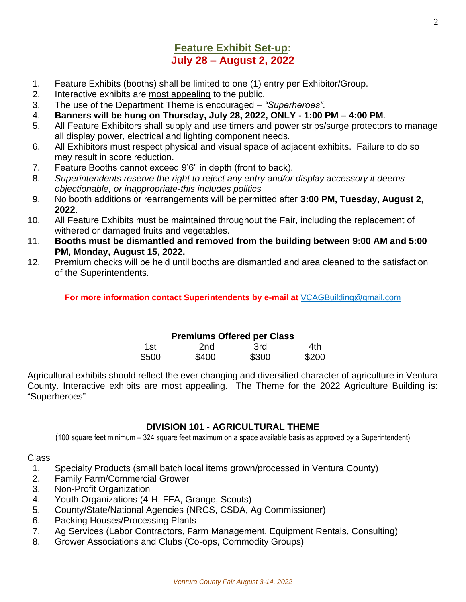## **Feature Exhibit Set-up: July 28 – August 2, 2022**

- 1. Feature Exhibits (booths) shall be limited to one (1) entry per Exhibitor/Group.
- 2. Interactive exhibits are most appealing to the public.
- 3. The use of the Department Theme is encouraged *"Superheroes".*
- 4. **Banners will be hung on Thursday, July 28, 2022, ONLY - 1:00 PM – 4:00 PM**.
- 5. All Feature Exhibitors shall supply and use timers and power strips/surge protectors to manage all display power, electrical and lighting component needs.
- 6. All Exhibitors must respect physical and visual space of adjacent exhibits. Failure to do so may result in score reduction.
- 7. Feature Booths cannot exceed 9'6" in depth (front to back).
- 8. *Superintendents reserve the right to reject any entry and/or display accessory it deems objectionable, or inappropriate-this includes politics*
- 9. No booth additions or rearrangements will be permitted after **3:00 PM, Tuesday, August 2, 2022**.
- 10. All Feature Exhibits must be maintained throughout the Fair, including the replacement of withered or damaged fruits and vegetables.
- 11. **Booths must be dismantled and removed from the building between 9:00 AM and 5:00 PM, Monday, August 15, 2022.**
- 12. Premium checks will be held until booths are dismantled and area cleaned to the satisfaction of the Superintendents.

**For more information contact Superintendents by e-mail at** VCAGBuilding@gmail.com

#### **Premiums Offered per Class**

| 1st.  | 2nd   | 3rd   | 4th   |
|-------|-------|-------|-------|
| \$500 | \$400 | \$300 | \$200 |

Agricultural exhibits should reflect the ever changing and diversified character of agriculture in Ventura County. Interactive exhibits are most appealing. The Theme for the 2022 Agriculture Building is: "Superheroes"

#### **DIVISION 101 - AGRICULTURAL THEME**

(100 square feet minimum – 324 square feet maximum on a space available basis as approved by a Superintendent)

- 1. Specialty Products (small batch local items grown/processed in Ventura County)
- 2. Family Farm/Commercial Grower
- 3. Non-Profit Organization
- 4. Youth Organizations (4-H, FFA, Grange, Scouts)
- 5. County/State/National Agencies (NRCS, CSDA, Ag Commissioner)
- 6. Packing Houses/Processing Plants
- 7. Ag Services (Labor Contractors, Farm Management, Equipment Rentals, Consulting)
- 8. Grower Associations and Clubs (Co-ops, Commodity Groups)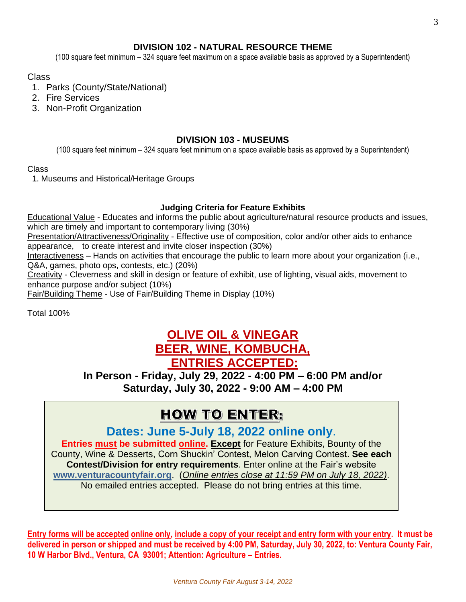### **DIVISION 102 - NATURAL RESOURCE THEME**

(100 square feet minimum – 324 square feet maximum on a space available basis as approved by a Superintendent)

#### Class

- 1. Parks (County/State/National)
- 2. Fire Services
- 3. Non-Profit Organization

#### **DIVISION 103 - MUSEUMS**

(100 square feet minimum – 324 square feet minimum on a space available basis as approved by a Superintendent)

#### Class

1. Museums and Historical/Heritage Groups

#### **Judging Criteria for Feature Exhibits**

Educational Value - Educates and informs the public about agriculture/natural resource products and issues, which are timely and important to contemporary living (30%)

Presentation/Attractiveness/Originality - Effective use of composition, color and/or other aids to enhance appearance, to create interest and invite closer inspection (30%)

Interactiveness – Hands on activities that encourage the public to learn more about your organization (i.e., Q&A, games, photo ops, contests, etc.) (20%)

Creativity - Cleverness and skill in design or feature of exhibit, use of lighting, visual aids, movement to enhance purpose and/or subject (10%)

Fair/Building Theme - Use of Fair/Building Theme in Display (10%)

Total 100%

## **OLIVE OIL & VINEGAR BEER, WINE, KOMBUCHA, ENTRIES ACCEPTED:**

**In Person - Friday, July 29, 2022 - 4:00 PM – 6:00 PM and/or Saturday, July 30, 2022 - 9:00 AM – 4:00 PM**

# **HOW TO ENTER:**

**Dates: June 5-July 18, 2022 online only**.

**Entries must be submitted online. Except** for Feature Exhibits, Bounty of the County, Wine & Desserts, Corn Shuckin' Contest, Melon Carving Contest. **See each Contest/Division for entry requirements**. Enter online at the Fair's website **[www.venturacountyfair.org](http://www.venturacountyfair.org/)**. (*Online entries close at 11:59 PM on July 18, 2022)*. No emailed entries accepted. Please do not bring entries at this time.

**Entry forms will be accepted online only, include a copy of your receipt and entry form with your entry. It must be delivered in person or shipped and must be received by 4:00 PM, Saturday, July 30, 2022, to: Ventura County Fair, 10 W Harbor Blvd., Ventura, CA 93001; Attention: Agriculture – Entries.**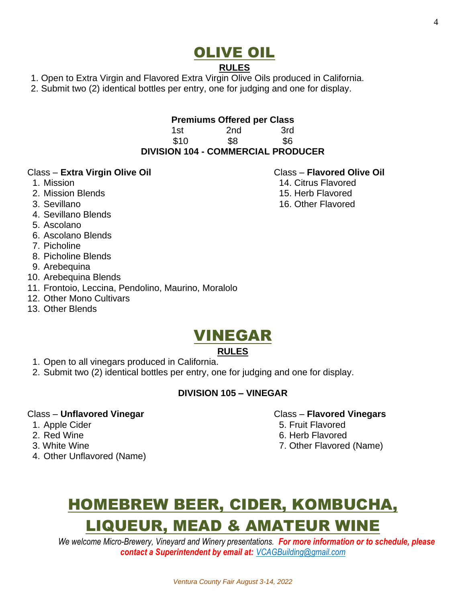# OLIVE OIL

#### **RULES**

- 1. Open to Extra Virgin and Flavored Extra Virgin Olive Oils produced in California.
- 2. Submit two (2) identical bottles per entry, one for judging and one for display.

#### **Premiums Offered per Class**

1st 2nd 3rd \$10 \$8 \$6 **DIVISION 104 - COMMERCIAL PRODUCER**

#### Class – **Extra Virgin Olive Oil** Class – **Flavored Olive Oil**

- 
- 2. Mission Blends 15. Herb Flavored
- 
- 4. Sevillano Blends
- 5. Ascolano
- 6. Ascolano Blends
- 7. Picholine
- 8. Picholine Blends
- 9. Arebequina
- 10. Arebequina Blends
- 11. Frontoio, Leccina, Pendolino, Maurino, Moralolo
- 12. Other Mono Cultivars
- 13. Other Blends

# VINEGAR

## **RULES**

- 1. Open to all vinegars produced in California.
- 2. Submit two (2) identical bottles per entry, one for judging and one for display.

#### **DIVISION 105 – VINEGAR**

#### Class – **Unflavored Vinegar** Class – **Flavored Vinegars**

- 
- 
- 
- 4. Other Unflavored (Name)

# HOMEBREW BEER, CIDER, KOMBUCHA, LIQUEUR, MEAD & AMATEUR WINE

*We welcome Micro-Brewery, Vineyard and Winery presentations. For more information or to schedule, please contact a Superintendent by email at: VCAGBuilding@gmail.com*

- 
- 1. Mission 14. Citrus Flavored
	-
	-

- 
- 1. Apple Cider 6. The Contract of the Second State of the Second State of the Second State of the Second State of the Second State of the Second State of the Second State of the Second State of the Second State of the Seco
- 2. Red Wine 6. Herb Flavored
- 3. White Wine **7. Other Flavored (Name)**
- -
	-
- 3. Sevillano 16. Other Flavored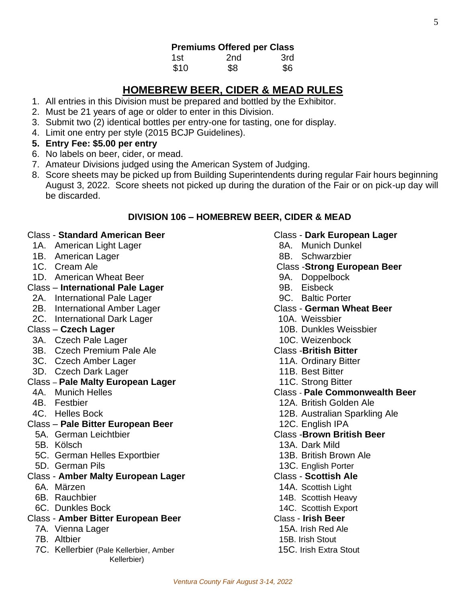| 1st  | 2 <sub>nd</sub> | 3rd |
|------|-----------------|-----|
| \$10 | \$8             | \$6 |

## **HOMEBREW BEER, CIDER & MEAD RULES**

- 1. All entries in this Division must be prepared and bottled by the Exhibitor.
- 2. Must be 21 years of age or older to enter in this Division.
- 3. Submit two (2) identical bottles per entry-one for tasting, one for display.
- 4. Limit one entry per style (2015 BCJP Guidelines).
- **5. Entry Fee: \$5.00 per entry**
- 6. No labels on beer, cider, or mead.
- 7. Amateur Divisions judged using the American System of Judging.
- 8. Score sheets may be picked up from Building Superintendents during regular Fair hours beginning August 3, 2022. Score sheets not picked up during the duration of the Fair or on pick-up day will be discarded.

#### **DIVISION 106 – HOMEBREW BEER, CIDER & MEAD**

#### Class - **Standard American Beer** Class - **Dark European Lager**

- 1A. American Light Lager 8A. Munich Dunkel
- 1B. American Lager 8B. Schwarzbier
- 
- 1D. American Wheat Beer 1999 Controller 10 and 10 and 10 and 10 and 10 and 10 and 10 and 10 and 10 and 10 and 1

#### Class – **International Pale Lager Processes 9B. Eisbeck**

- 2A. International Pale Lager 1986 1997 1998. Baltic Porter
- 2B. International Amber Lager **Class German Wheat Beer**
- 2C. International Dark Lager 10A. Weissbier

- 3A. Czech Pale Lager10C. Weizenbock
- 3B. Czech Premium Pale Ale Class -**British Bitter**
- 3C. Czech Amber Lager 11A. Ordinary Bitter
- 3D. Czech Dark Lager 11B. Best Bitter

#### Class – **Pale Malty European Lager** 11C. Strong Bitter

- 
- 
- 
- Class **Pale Bitter European Beer** 12C. English IPA
- 
- 
- 5C. German Helles Exportbier 13B. British Brown Ale
- 

#### Class - **Amber Malty European Lager** Class - **Scottish Ale**

- 
- 
- 

### Class - **Amber Bitter European Beer** Class - **Irish Beer**

- 7A. Vienna Lager 15A. Irish Red Ale
- 
- 7C. Kellerbier (Pale Kellerbier, Amber 15C. Irish Extra Stout Kellerbier)

- 
- 

#### 1C. Cream Ale **Class -Strong European Beer**

- 
- 
- 
- 
- 
- Class **Czech Lager** 10B. Dunkles Weissbier
	-

- 
- 
- 
- 4A. Munich Helles Class **Pale Commonwealth Beer**
- 4B. Festbier 12A. British Golden Ale
- 4C. Helles Bock **12B. Australian Sparkling Ale** 
	-

#### 5A. German Leichtbier Class -**Brown British Beer**

- 5B. Kölsch 13A. Dark Mild
	-
- 5D. German Pils 13C. English Porter
	-
- 6A. Märzen 14A. Scottish Light
- 6B. Rauchbier 14B. Scottish Heavy
- 6C. Dunkles Bock 14C. Scottish Export
	- -
- 7B. Altbier15B. Irish Stout
	-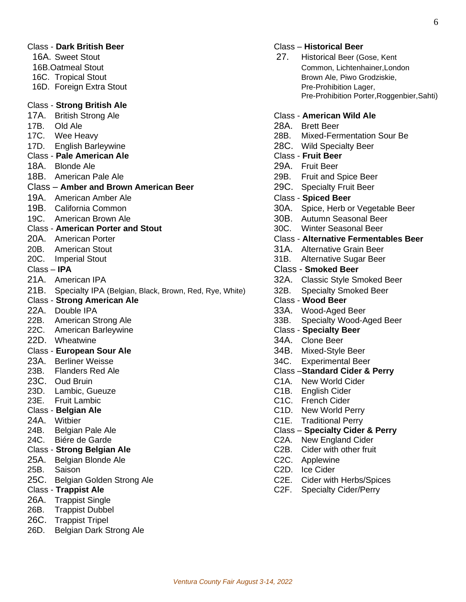|                    | <b>Class - Dark British Beer</b><br>16A. Sweet Stout   | 27.               | <b>Class - Historical Beer</b><br>Historical Beer (Gose, Kent |
|--------------------|--------------------------------------------------------|-------------------|---------------------------------------------------------------|
|                    | 16B.Oatmeal Stout                                      |                   | Common, Lichtenhainer, London                                 |
|                    | 16C. Tropical Stout                                    |                   | Brown Ale, Piwo Grodziskie,                                   |
|                    | 16D. Foreign Extra Stout                               |                   | Pre-Prohibition Lager,<br>Pre-Prohibition Porter, Roggenbi    |
|                    | <b>Class - Strong British Ale</b>                      |                   |                                                               |
|                    | 17A. British Strong Ale                                |                   | <b>Class - American Wild Ale</b>                              |
| 17B.               | Old Ale                                                |                   | 28A. Brett Beer                                               |
|                    | 17C. Wee Heavy                                         | 28B.              | Mixed-Fermentation Sour Be                                    |
| 17D.               | <b>English Barleywine</b>                              |                   | 28C. Wild Specialty Beer                                      |
|                    | <b>Class - Pale American Ale</b>                       |                   | <b>Class - Fruit Beer</b>                                     |
|                    | 18A. Blonde Ale                                        |                   | 29A. Fruit Beer                                               |
|                    | 18B. American Pale Ale                                 |                   | 29B. Fruit and Spice Beer                                     |
|                    | Class - Amber and Brown American Beer                  | 29C.              | <b>Specialty Fruit Beer</b>                                   |
|                    | 19A. American Amber Ale                                |                   | <b>Class - Spiced Beer</b>                                    |
|                    | 19B. California Common                                 |                   | 30A. Spice, Herb or Vegetable Bee                             |
|                    | 19C. American Brown Ale                                |                   | 30B. Autumn Seasonal Beer                                     |
|                    | <b>Class - American Porter and Stout</b>               | 30C.              | <b>Winter Seasonal Beer</b>                                   |
|                    | 20A. American Porter                                   |                   | <b>Class - Alternative Fermentables B</b>                     |
|                    | 20B. American Stout                                    |                   | 31A. Alternative Grain Beer                                   |
| 20C.               | <b>Imperial Stout</b>                                  |                   | 31B. Alternative Sugar Beer                                   |
| Class - <b>IPA</b> |                                                        |                   | <b>Class - Smoked Beer</b>                                    |
|                    | 21A. American IPA                                      |                   | 32A. Classic Style Smoked Beer                                |
| 21B.               | Specialty IPA (Belgian, Black, Brown, Red, Rye, White) | 32B.              | <b>Specialty Smoked Beer</b>                                  |
|                    | <b>Class - Strong American Ale</b>                     |                   | Class - Wood Beer                                             |
| 22A.               | Double IPA                                             |                   | 33A. Wood-Aged Beer                                           |
| 22B.               | American Strong Ale                                    | 33B.              | Specialty Wood-Aged Beer                                      |
|                    | 22C. American Barleywine                               |                   | <b>Class - Specialty Beer</b>                                 |
|                    | 22D. Wheatwine                                         |                   | 34A. Clone Beer                                               |
|                    | Class - European Sour Ale                              | 34B.              | Mixed-Style Beer                                              |
| 23A.               | <b>Berliner Weisse</b>                                 | 34C.              | <b>Experimental Beer</b>                                      |
| 23B.               | <b>Flanders Red Ale</b>                                |                   | <b>Class-Standard Cider &amp; Perry</b>                       |
|                    | 23C. Oud Bruin                                         |                   | C1A. New World Cider                                          |
| 23D.               | Lambic, Gueuze                                         | C1B.              | <b>English Cider</b>                                          |
| 23E.               | <b>Fruit Lambic</b>                                    | C <sub>1</sub> C. | <b>French Cider</b>                                           |
|                    | Class - Belgian Ale                                    | C1D.              | New World Perry                                               |
| 24A.               | Witbier                                                | C <sub>1</sub> E. | <b>Traditional Perry</b>                                      |
| 24B.               | Belgian Pale Ale                                       |                   | <b>Class - Specialty Cider &amp; Perry</b>                    |
| 24C.               | Biére de Garde                                         | C <sub>2</sub> A. | New England Cider                                             |
|                    | Class - Strong Belgian Ale                             | C <sub>2</sub> B. | Cider with other fruit                                        |
| 25A.               | Belgian Blonde Ale                                     | C <sub>2</sub> C. | Applewine                                                     |
| 25B.               | Saison                                                 | C <sub>2</sub> D. | Ice Cider                                                     |
| 25C.               | Belgian Golden Strong Ale                              | C <sub>2</sub> E. | <b>Cider with Herbs/Spices</b>                                |
|                    | <b>Class - Trappist Ale</b>                            | C <sub>2</sub> F. | <b>Specialty Cider/Perry</b>                                  |
| 26A.<br>26B.       | <b>Trappist Single</b>                                 |                   |                                                               |
| 26C.               | <b>Trappist Dubbel</b>                                 |                   |                                                               |
| 26D.               | <b>Trappist Tripel</b><br>Belgian Dark Strong Ale      |                   |                                                               |
|                    |                                                        |                   |                                                               |

#### Class - **Dark British Beer** Class – **Historical Beer**

| Historical Beer (Gose, Kent                |
|--------------------------------------------|
| Common, Lichtenhainer, London              |
| Brown Ale, Piwo Grodziskie,                |
| Pre-Prohibition Lager,                     |
| Pre-Prohibition Porter, Roggenbier, Sahti) |
|                                            |

#### 17A. British Strong Ale Class - **American Wild Ale**

28A. Brett Beer 28B. Mixed-Fermentation Sour Be 28C. Wild Specialty Beer Class - **Pale American Ale** Class - **Fruit Beer** 29A. Fruit Beer 29B. Fruit and Spice Beer **Proper** 29C. Specialty Fruit Beer 19A. American Amber Ale Class - **Spiced Beer** 30A. Spice, Herb or Vegetable Beer 30B. Autumn Seasonal Beer 30C. Winter Seasonal Beer **Class - Alternative Fermentables Beer** 31A. Alternative Grain Beer 31B. Alternative Sugar Beer **Class - Smoked Beer** 32A. Classic Style Smoked Beer Red, Rye, White) 32B. Specialty Smoked Beer Class - **Strong American Ale** Class - **Wood Beer** 33A. Wood-Aged Beer 33B. Specialty Wood-Aged Beer **Class - Specialty Beer** 34A. Clone Beer 34B. Mixed-Style Beer 34C. Experimental Beer 23B. Flanders Red Ale Class –**Standard Cider & Perry** C1A. New World Cider C<sub>1</sub>B. English Cider C1C. French Cider C1D. New World Perry C1E. Traditional Perry **Class – Specialty Cider & Perry** C2A. New England Cider C<sub>2</sub>B. Cider with other fruit C2C. Applewine C2D. Ice Cider C2E. Cider with Herbs/Spices C2F. Specialty Cider/Perry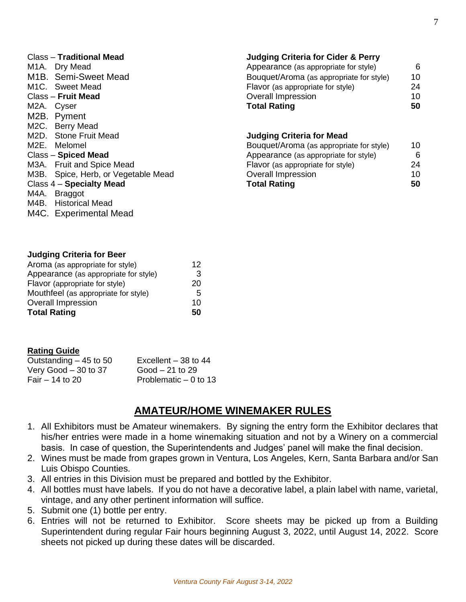| <b>Class - Traditional Mead</b>     | <b>Judging Criteria for Cider &amp; Perry</b> |    |
|-------------------------------------|-----------------------------------------------|----|
| M <sub>1</sub> A. Dry Mead          | Appearance (as appropriate for style)         | 6  |
| M <sub>1</sub> B. Semi-Sweet Mead   | Bouquet/Aroma (as appropriate for style)      | 10 |
| M1C. Sweet Mead                     | Flavor (as appropriate for style)             | 24 |
| Class - Fruit Mead                  | Overall Impression                            | 10 |
| M2A. Cyser                          | <b>Total Rating</b>                           | 50 |
| M2B. Pyment                         |                                               |    |
| M2C. Berry Mead                     |                                               |    |
| M2D. Stone Fruit Mead               | <b>Judging Criteria for Mead</b>              |    |
| M2E. Melomel                        | Bouquet/Aroma (as appropriate for style)      | 10 |
| Class - Spiced Mead                 | Appearance (as appropriate for style)         | 6  |
| M3A. Fruit and Spice Mead           | Flavor (as appropriate for style)             | 24 |
| M3B. Spice, Herb, or Vegetable Mead | <b>Overall Impression</b>                     | 10 |
| Class $4 -$ Specialty Mead          | <b>Total Rating</b>                           | 50 |
| M4A. Braggot                        |                                               |    |

#### **Judging Criteria for Beer**

M4B. Historical Mead M4C. Experimental Mead

| Aroma (as appropriate for style)      | 12 |
|---------------------------------------|----|
| Appearance (as appropriate for style) | 3  |
| Flavor (appropriate for style)        | 20 |
| Mouthfeel (as appropriate for style)  | 5  |
| <b>Overall Impression</b>             | 10 |
| <b>Total Rating</b>                   | 50 |

#### **Rating Guide**

| Outstanding $-45$ to 50 | Excellent $-38$ to 44  |
|-------------------------|------------------------|
| Very Good $-30$ to 37   | $Good - 21$ to 29      |
| Fair $-14$ to 20        | Problematic $-0$ to 13 |

## **AMATEUR/HOME WINEMAKER RULES**

- 1. All Exhibitors must be Amateur winemakers. By signing the entry form the Exhibitor declares that his/her entries were made in a home winemaking situation and not by a Winery on a commercial basis. In case of question, the Superintendents and Judges' panel will make the final decision.
- 2. Wines must be made from grapes grown in Ventura, Los Angeles, Kern, Santa Barbara and/or San Luis Obispo Counties.
- 3. All entries in this Division must be prepared and bottled by the Exhibitor.
- 4. All bottles must have labels. If you do not have a decorative label, a plain label with name, varietal, vintage, and any other pertinent information will suffice.
- 5. Submit one (1) bottle per entry.
- 6. Entries will not be returned to Exhibitor. Score sheets may be picked up from a Building Superintendent during regular Fair hours beginning August 3, 2022, until August 14, 2022. Score sheets not picked up during these dates will be discarded.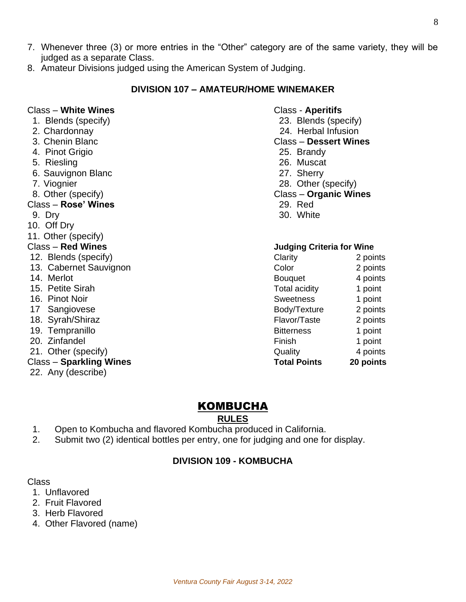- 7. Whenever three (3) or more entries in the "Other" category are of the same variety, they will be judged as a separate Class.
- 8. Amateur Divisions judged using the American System of Judging.

#### **DIVISION 107 – AMATEUR/HOME WINEMAKER**

#### Class – **White Wines** Class - **Aperitifs**

- 1. Blends (specify) 23. Blends (specify)
- 
- 
- 4. Pinot Grigio 25. Brandy
- 
- 6. Sauvignon Blanc 27. Sherry
- 
- 

#### Class – **Rose' Wines** 29. Red

- 
- 10. Off Dry
- 11. Other (specify)
- 
- 12. Blends (specify)
- 13. Cabernet Sauvignon
- 14. Merlot
- 15. Petite Sirah
- 16. Pinot Noir
- 17 Sangiovese
- 18. Syrah/Shiraz
- 19. Tempranillo
- 20. Zinfandel
- 21. Other (specify)

#### Class – **Sparkling Wines Total Points 20 points**

22. Any (describe)

- 2. Chardonnay 24. Herbal Infusion
- 3. Chenin Blanc Class **Dessert Wines**
	-
- 5. Riesling 26. Muscat
	-
- 7. Viognier 28. Other (specify)
- 8. Other (specify) Class **Organic Wines**
	-
- 9. Drv 30. White

#### Class – **Red Wines Judging Criteria for Wine**

| Clarity              | 2 points  |
|----------------------|-----------|
| Color                | 2 points  |
| <b>Bouquet</b>       | 4 points  |
| <b>Total acidity</b> | 1 point   |
| <b>Sweetness</b>     | 1 point   |
| Body/Texture         | 2 points  |
| Flavor/Taste         | 2 points  |
| <b>Bitterness</b>    | 1 point   |
| Finish               | 1 point   |
| Quality              | 4 points  |
| <b>Total Points</b>  | 20 points |

## KOMBUCHA

**RULES**

- 1. Open to Kombucha and flavored Kombucha produced in California.
- 2. Submit two (2) identical bottles per entry, one for judging and one for display.

#### **DIVISION 109 - KOMBUCHA**

- 1. Unflavored
- 2. Fruit Flavored
- 3. Herb Flavored
- 4. Other Flavored (name)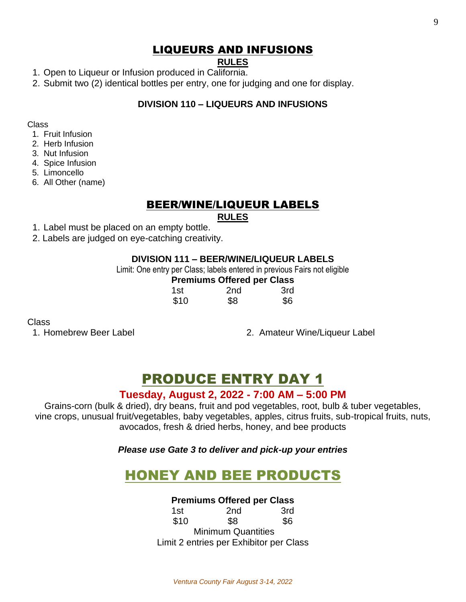## LIQUEURS AND INFUSIONS

## **RULES**

- 1. Open to Liqueur or Infusion produced in California.
- 2. Submit two (2) identical bottles per entry, one for judging and one for display.

### **DIVISION 110 – LIQUEURS AND INFUSIONS**

Class

- 1. Fruit Infusion
- 2. Herb Infusion
- 3. Nut Infusion
- 4. Spice Infusion
- 5. Limoncello
- 6. All Other (name)

## BEER/WINE/LIQUEUR LABELS

#### **RULES**

- 1. Label must be placed on an empty bottle.
- 2. Labels are judged on eye-catching creativity.

### **DIVISION 111 – BEER/WINE/LIQUEUR LABELS**

Limit: One entry per Class; labels entered in previous Fairs not eligible

## **Premiums Offered per Class**

| 1st  | 2 <sub>nd</sub> | 3rd |
|------|-----------------|-----|
| \$10 | \$8             | \$6 |

#### Class

1. Homebrew Beer Label 2. Amateur Wine/Liqueur Label

# PRODUCE ENTRY DAY 1

## **Tuesday, August 2, 2022 - 7:00 AM – 5:00 PM**

Grains-corn (bulk & dried), dry beans, fruit and pod vegetables, root, bulb & tuber vegetables, vine crops, unusual fruit/vegetables, baby vegetables, apples, citrus fruits, sub-tropical fruits, nuts, avocados, fresh & dried herbs, honey, and bee products

*Please use Gate 3 to deliver and pick-up your entries*

# HONEY AND BEE PRODUCTS

#### **Premiums Offered per Class**

1st 2nd 3rd \$10 \$8 \$6 Minimum Quantities Limit 2 entries per Exhibitor per Class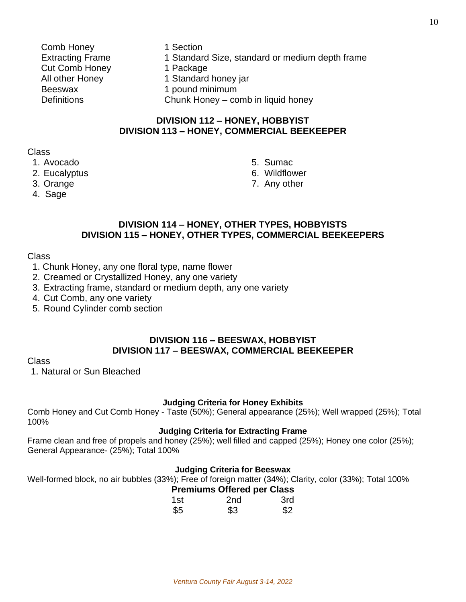- Comb Honey 1 Section Cut Comb Honey 1 Package Beeswax 1 pound minimum
- Extracting Frame 1 Standard Size, standard or medium depth frame All other Honey 1 Standard honey jar
	-

Definitions Chunk Honey – comb in liquid honey

#### **DIVISION 112 – HONEY, HOBBYIST DIVISION 113 – HONEY, COMMERCIAL BEEKEEPER**

#### Class

- 1. Avocado 5. Sumac
- 
- 
- 4. Sage
- 
- 2. Eucalyptus **6. Wildflower**
- 3. Orange 7. Any other

#### **DIVISION 114 – HONEY, OTHER TYPES, HOBBYISTS DIVISION 115 – HONEY, OTHER TYPES, COMMERCIAL BEEKEEPERS**

#### Class

- 1. Chunk Honey, any one floral type, name flower
- 2. Creamed or Crystallized Honey, any one variety
- 3. Extracting frame, standard or medium depth, any one variety
- 4. Cut Comb, any one variety
- 5. Round Cylinder comb section

#### **DIVISION 116 – BEESWAX, HOBBYIST DIVISION 117 – BEESWAX, COMMERCIAL BEEKEEPER**

#### Class

1. Natural or Sun Bleached

#### **Judging Criteria for Honey Exhibits**

Comb Honey and Cut Comb Honey - Taste (50%); General appearance (25%); Well wrapped (25%); Total 100%

#### **Judging Criteria for Extracting Frame**

Frame clean and free of propels and honey (25%); well filled and capped (25%); Honey one color (25%); General Appearance- (25%); Total 100%

#### **Judging Criteria for Beeswax**

Well-formed block, no air bubbles (33%); Free of foreign matter (34%); Clarity, color (33%); Total 100%

#### **Premiums Offered per Class**

| 1st | 2 <sub>nd</sub> | 3rd |
|-----|-----------------|-----|
| \$5 | \$3             | \$2 |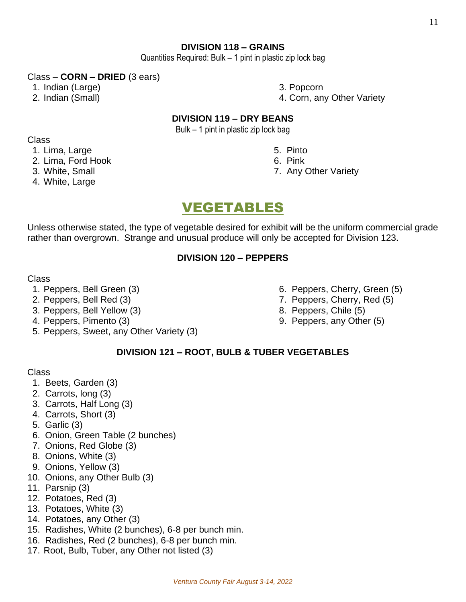#### **DIVISION 118 – GRAINS**

Quantities Required: Bulk – 1 pint in plastic zip lock bag

#### Class – **CORN – DRIED** (3 ears)

- 1. Indian (Large) 3. Popcorn
- 

2. Indian (Small) 4. Corn, any Other Variety

#### **DIVISION 119 – DRY BEANS**

Bulk – 1 pint in plastic zip lock bag

#### Class

- 1. Lima, Large 5. Pinto
- 2. Lima, Ford Hook 6. Pink
- 
- 4. White, Large

- 
- 3. White, Small 3. White, Small 3. White, Small 3. White, Small 3. White, Small 3. White  $7.$  Any Other Variety

# VEGETABLES

Unless otherwise stated, the type of vegetable desired for exhibit will be the uniform commercial grade rather than overgrown. Strange and unusual produce will only be accepted for Division 123.

#### **DIVISION 120 – PEPPERS**

#### Class

- 
- 
- 3. Peppers, Bell Yellow (3) 8. Peppers, Chile (5)
- 
- 5. Peppers, Sweet, any Other Variety (3)
- 1. Peppers, Bell Green (3) 6. Peppers, Cherry, Green (5)
- 2. Peppers, Bell Red (3) 2. Peppers, Cherry, Red (5)
	-
- 4. Peppers, Pimento (3) 3. Peppers, any Other (5)

#### **DIVISION 121 – ROOT, BULB & TUBER VEGETABLES**

- 1. Beets, Garden (3)
- 2. Carrots, long (3)
- 3. Carrots, Half Long (3)
- 4. Carrots, Short (3)
- 5. Garlic (3)
- 6. Onion, Green Table (2 bunches)
- 7. Onions, Red Globe (3)
- 8. Onions, White (3)
- 9. Onions, Yellow (3)
- 10. Onions, any Other Bulb (3)
- 11. Parsnip (3)
- 12. Potatoes, Red (3)
- 13. Potatoes, White (3)
- 14. Potatoes, any Other (3)
- 15. Radishes, White (2 bunches), 6-8 per bunch min.
- 16. Radishes, Red (2 bunches), 6-8 per bunch min.
- 17. Root, Bulb, Tuber, any Other not listed (3)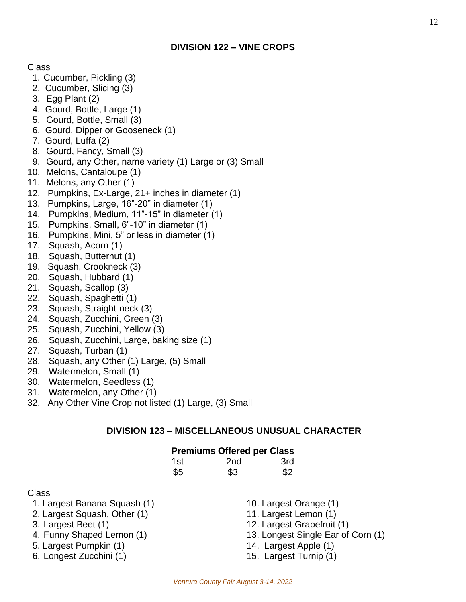Class

- 1. Cucumber, Pickling (3)
- 2. Cucumber, Slicing (3)
- 3. Egg Plant (2)
- 4. Gourd, Bottle, Large (1)
- 5. Gourd, Bottle, Small (3)
- 6. Gourd, Dipper or Gooseneck (1)
- 7. Gourd, Luffa (2)
- 8. Gourd, Fancy, Small (3)
- 9. Gourd, any Other, name variety (1) Large or (3) Small
- 10. Melons, Cantaloupe (1)
- 11. Melons, any Other (1)
- 12. Pumpkins, Ex-Large, 21+ inches in diameter (1)
- 13. Pumpkins, Large, 16"-20" in diameter (1)
- 14. Pumpkins, Medium, 11"-15" in diameter (1)
- 15. Pumpkins, Small, 6"-10" in diameter (1)
- 16. Pumpkins, Mini, 5" or less in diameter (1)
- 17. Squash, Acorn (1)
- 18. Squash, Butternut (1)
- 19. Squash, Crookneck (3)
- 20. Squash, Hubbard (1)
- 21. Squash, Scallop (3)
- 22. Squash, Spaghetti (1)
- 23. Squash, Straight-neck (3)
- 24. Squash, Zucchini, Green (3)
- 25. Squash, Zucchini, Yellow (3)
- 26. Squash, Zucchini, Large, baking size (1)
- 27. Squash, Turban (1)
- 28. Squash, any Other (1) Large, (5) Small
- 29. Watermelon, Small (1)
- 30. Watermelon, Seedless (1)
- 31. Watermelon, any Other (1)
- 32. Any Other Vine Crop not listed (1) Large, (3) Small

#### **DIVISION 123 – MISCELLANEOUS UNUSUAL CHARACTER**

## **Premiums Offered per Class**

| 1st | 2 <sub>nd</sub> | 3rd |
|-----|-----------------|-----|
| \$5 | \$3             | \$2 |

- 1. Largest Banana Squash (1) 10. Largest Orange (1)
- 2. Largest Squash, Other (1) 11. Largest Lemon (1)
- 
- 
- 5. Largest Pumpkin (1) 14. Largest Apple (1)
- 6. Longest Zucchini (1) 15. Largest Turnip (1)
- 3. Largest Beet (1) 12. Largest Grapefruit (1) 4. Funny Shaped Lemon (1) 13. Longest Single Ear of Corn (1)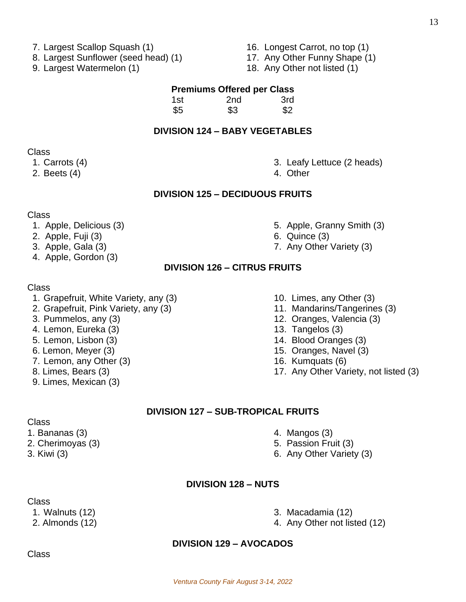- 7. Largest Scallop Squash (1) 16. Longest Carrot, no top (1)
- 8. Largest Sunflower (seed head) (1) 17. Any Other Funny Shape (1)
- 9. Largest Watermelon (1) 18. Any Other not listed (1)
- 
- 
- 

#### **Premiums Offered per Class**

| 1st | 2 <sub>nd</sub> | 3rd |
|-----|-----------------|-----|
| \$5 | \$3             | \$2 |

#### **DIVISION 124 – BABY VEGETABLES**

#### Class

- 
- 2. Beets (4) 2. Beets (4)
- 1. Carrots (4) 3. Leafy Lettuce (2 heads)
	-

#### **DIVISION 125 – DECIDUOUS FRUITS**

#### Class

- 1. Apple, Delicious (3) **5. Apple, Granny Smith (3)**
- 2. Apple, Fuji (3) 6. Quince (3)
- 3. Apple, Gala (3) 7. Any Other Variety (3)
- 4. Apple, Gordon (3)

#### **DIVISION 126 – CITRUS FRUITS**

#### Class

- 1. Grapefruit, White Variety, any (3) 10. Limes, any Other (3)
- 2. Grapefruit, Pink Variety, any (3) 11. Mandarins/Tangerines (3)
- 
- 4. Lemon, Eureka (3) 13. Tangelos (3)
- 
- 
- 7. Lemon, any Other (3) 16. Kumquats (6)
- 
- 9. Limes, Mexican (3)
- 
- 
- 3. Pummelos, any (3) 12. Oranges, Valencia (3)
	-
- 5. Lemon, Lisbon (3) 14. Blood Oranges (3)
- 6. Lemon, Meyer (3) 15. Oranges, Navel (3)
	-
- 8. Limes, Bears (3) 17. Any Other Variety, not listed (3)

#### **DIVISION 127 – SUB-TROPICAL FRUITS**

- Class
- 1. Bananas (3) 4. Mangos (3)
- 
- 
- 
- 2. Cherimoyas (3) 6. Passion Fruit (3)
- 3. Kiwi (3) 6. Any Other Variety (3)

#### **DIVISION 128 – NUTS**

Class

- 1. Walnuts (12) 3. Macadamia (12)
- 2. Almonds (12) 2. Almonds (12) 2. Almonds (12)

#### **DIVISION 129 – AVOCADOS**

- 
-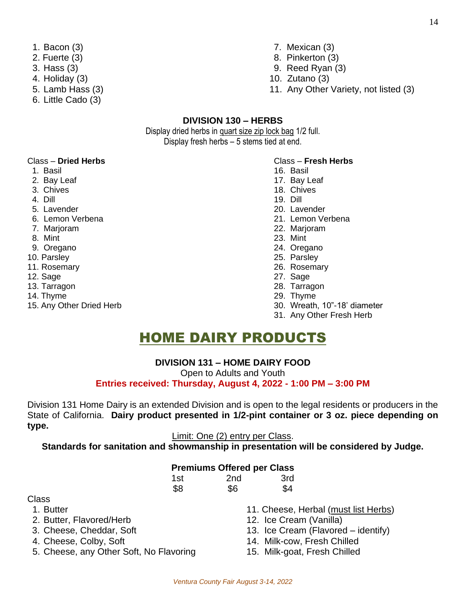- 
- 
- 
- 
- 
- 6. Little Cado (3)
- 1. Bacon (3) 7. Mexican (3)
- 2. Fuerte (3) 8. Pinkerton (3)
- 3. Hass (3) 9. Reed Ryan (3)
- 4. Holiday (3) 10. Zutano (3)
- 5. Lamb Hass (3) 11. Any Other Variety, not listed (3)

#### **DIVISION 130 – HERBS**

Display dried herbs in quart size zip lock bag 1/2 full. Display fresh herbs – 5 stems tied at end.

#### Class – **Dried Herbs** Class – **Fresh Herbs**

- 1. Basil 2012 and 2013 and 2014 and 2014 and 2014 and 2014 and 2014 and 2014 and 2014 and 2014 and 2014 and 20
- 2. Bay Leaf 2. and 2. Bay Leaf 2. Bay Leaf 2. Bay Leaf 2. Bay Leaf 2. Bay Leaf
- 
- 4. Dill 19. Dill
- 
- 
- 
- 
- 
- 
- 
- 
- 
- 
- 
- 
- 
- 3. Chives 18. Chives
	-
- 5. Lavender 20. Lavender
- 6. Lemon Verbena 21. Lemon Verbena
- 7. Marjoram 22. Marjoram
- 8. Mint 23. Mint
- 9. Oregano 24. Oregano
- 10. Parsley 25. Parsley
- 11. Rosemary 26. Rosemary
- 12. Sage 27. Sage
- 13. Tarragon 28. Tarragon
- 14. Thyme 29. Thyme
- 15. Any Other Dried Herb 30. Wreath, 10"-18' diameter
	- 31. Any Other Fresh Herb

# HOME DAIRY PRODUCTS

#### **DIVISION 131 – HOME DAIRY FOOD**

Open to Adults and Youth

#### **Entries received: Thursday, August 4, 2022 - 1:00 PM – 3:00 PM**

Division 131 Home Dairy is an extended Division and is open to the legal residents or producers in the State of California. **Dairy product presented in 1/2-pint container or 3 oz. piece depending on type.** 

#### Limit: One (2) entry per Class.

**Standards for sanitation and showmanship in presentation will be considered by Judge.**

#### **Premiums Offered per Class**

| 1st | 2 <sub>nd</sub> | 3rd |
|-----|-----------------|-----|
| \$8 | \$6             | \$4 |

- Class
- 
- 2. Butter, Flavored/Herb 12. Ice Cream (Vanilla)
- 
- 
- 5. Cheese, any Other Soft, No Flavoring 15. Milk-goat, Fresh Chilled
- 1. Butter 1. Butter 11. Cheese, Herbal (must list Herbs)
	-
- 3. Cheese, Cheddar, Soft 13. Ice Cream (Flavored identify)
- 4. Cheese, Colby, Soft 14. Milk-cow, Fresh Chilled
	-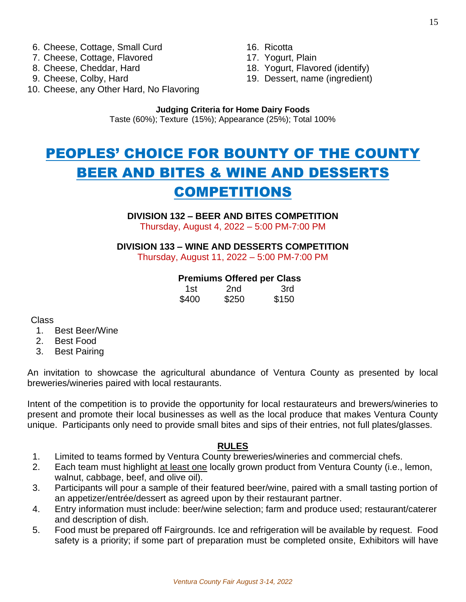- 6. Cheese, Cottage, Small Curd 16. Ricotta
- 7. Cheese, Cottage, Flavored 17. Yogurt, Plain
- 
- 
- 
- 
- 8. Cheese, Cheddar, Hard 18. Yogurt, Flavored (identify)
- 9. Cheese, Colby, Hard 19. Dessert, name (ingredient)
- 10. Cheese, any Other Hard, No Flavoring

#### **Judging Criteria for Home Dairy Foods** Taste (60%); Texture (15%); Appearance (25%); Total 100%

# PEOPLES' CHOICE FOR BOUNTY OF THE COUNTY BEER AND BITES & WINE AND DESSERTS COMPETITIONS

#### **DIVISION 132 – BEER AND BITES COMPETITION**

Thursday, August 4, 2022 – 5:00 PM-7:00 PM

**DIVISION 133 – WINE AND DESSERTS COMPETITION**

Thursday, August 11, 2022 – 5:00 PM-7:00 PM

#### **Premiums Offered per Class**

| 1st   | 2nd   | 3rd   |
|-------|-------|-------|
| \$400 | \$250 | \$150 |

Class

- 1. Best Beer/Wine
- 2. Best Food
- 3. Best Pairing

An invitation to showcase the agricultural abundance of Ventura County as presented by local breweries/wineries paired with local restaurants.

Intent of the competition is to provide the opportunity for local restaurateurs and brewers/wineries to present and promote their local businesses as well as the local produce that makes Ventura County unique. Participants only need to provide small bites and sips of their entries, not full plates/glasses.

#### **RULES**

- 1. Limited to teams formed by Ventura County breweries/wineries and commercial chefs.
- 2. Each team must highlight at least one locally grown product from Ventura County (i.e., lemon, walnut, cabbage, beef, and olive oil).
- 3. Participants will pour a sample of their featured beer/wine, paired with a small tasting portion of an appetizer/entrée/dessert as agreed upon by their restaurant partner.
- 4. Entry information must include: beer/wine selection; farm and produce used; restaurant/caterer and description of dish.
- 5. Food must be prepared off Fairgrounds. Ice and refrigeration will be available by request. Food safety is a priority; if some part of preparation must be completed onsite, Exhibitors will have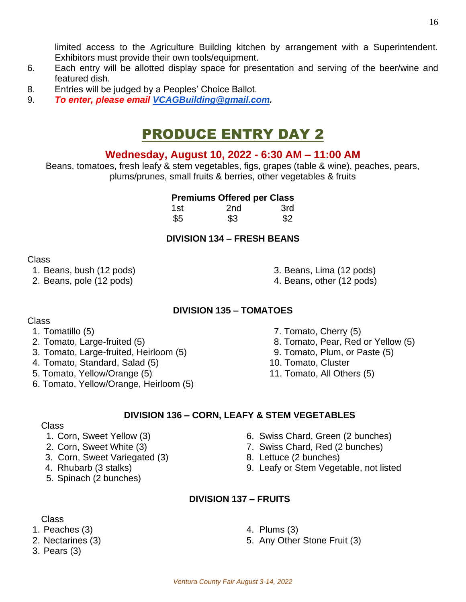**DIVISION 137 – FRUITS** 

2. Nectarines (3) 2. Nectarines (3) 2. Any Other Stone Fruit (3)

Exhibitors must provide their own tools/equipment.

8. Entries will be judged by a Peoples' Choice Ballot. 9. *To enter, please email [VCAGBuilding@gmail.com.](mailto:VCAGBuilding@gmail.com)*

### Class

1. Beans, bush (12 pods) 3. Beans, Lima (12 pods)

featured dish.

- 2. Beans, pole (12 pods) 4. Beans, other (12 pods)
	- **DIVISION 135 – TOMATOES**

- Class
	-
- 3. Tomato, Large-fruited, Heirloom (5) 9. Tomato, Plum, or Paste (5)
- 4. Tomato, Standard, Salad (5) 10. Tomato, Cluster
- 5. Tomato, Yellow/Orange (5) 11. Tomato, All Others (5)
- 6. Tomato, Yellow/Orange, Heirloom (5)
- 1. Tomatillo (5) 2. Tomato, Cherry (5)
- 2. Tomato, Large-fruited (5) 8. Tomato, Pear, Red or Yellow (5)
	-
	-
	-

## **DIVISION 136 – CORN, LEAFY & STEM VEGETABLES**

## Class

- 1. Corn, Sweet Yellow (3) 6. Swiss Chard, Green (2 bunches)
- 2. Corn, Sweet White (3) 2. Corn, Sweet White (3) 7. Swiss Chard, Red (2 bunches)
- 3. Corn, Sweet Variegated (3) 8. Lettuce (2 bunches)
- 
- 5. Spinach (2 bunches)

- 
- *Ventura County Fair August 3-14, 2022*

# PRODUCE ENTRY DAY 2

6. Each entry will be allotted display space for presentation and serving of the beer/wine and

limited access to the Agriculture Building kitchen by arrangement with a Superintendent.

# **Wednesday, August 10, 2022 - 6:30 AM – 11:00 AM**

Beans, tomatoes, fresh leafy & stem vegetables, figs, grapes (table & wine), peaches, pears, plums/prunes, small fruits & berries, other vegetables & fruits

### **Premiums Offered per Class**

| 1st | 2 <sub>nd</sub> | _____<br>3rd |
|-----|-----------------|--------------|
| \$5 | \$3             | \$2          |

## **DIVISION 134 – FRESH BEANS**

- 
- 
- 

- -
	-
	-
	-
- 
- 
- 4. Rhubarb (3 stalks) 9. Leafy or Stem Vegetable, not listed
- 
- Class
- 1. Peaches (3) 4. Plums (3)
- 
- 3. Pears (3)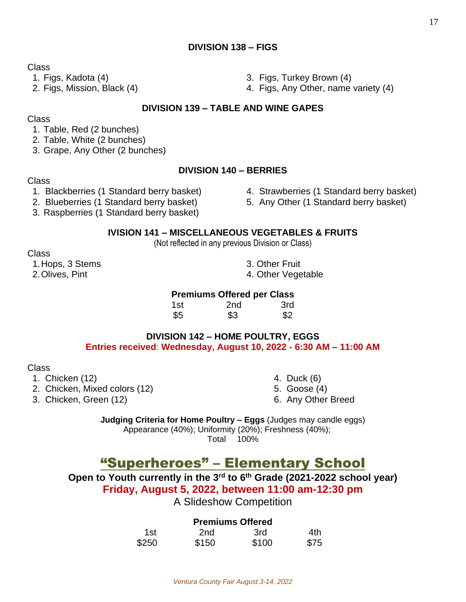#### **DIVISION 138 – FIGS**

Class

#### **DIVISION 139 – TABLE AND WINE GAPES**

#### Class

#### 1. Table, Red (2 bunches)

- 2. Table, White (2 bunches)
- 3. Grape, Any Other (2 bunches)

#### **DIVISION 140 – BERRIES**

#### Class

- 1. Blackberries (1 Standard berry basket) 4. Strawberries (1 Standard berry basket)
- 2. Blueberries (1 Standard berry basket) 5. Any Other (1 Standard berry basket)
- 3. Raspberries (1 Standard berry basket)

#### **IVISION 141 – MISCELLANEOUS VEGETABLES & FRUITS**

(Not reflected in any previous Division or Class)

Class

1. Hops, 3 Stems 3. Other Fruit 2. Olives, Pint 1. 2. Olives, Pint 1. 2. Olives, Pint 1. 2. Olives, Pint 1. 2. Olives, Pint 1. 2. Olives, 2. Olives, 2. Olives, 2. Olives, 2. Olives, 2. Olives, 2. Olives, 2. Olives, 2. Olives, 2. Olives, 2. Olives, 2. Oli

#### **Premiums Offered per Class**

| 1st | 2 <sub>nd</sub> | 3rd |
|-----|-----------------|-----|
| \$5 | \$3             | \$2 |

#### **DIVISION 142 – HOME POULTRY, EGGS Entries received**: **Wednesday, August 10, 2022 - 6:30 AM – 11:00 AM**

Class

- 1. Chicken (12) 4. Duck (6)
- 2. Chicken, Mixed colors (12) 5. Goose (4)
- 3. Chicken, Green (12) 6. Any Other Breed
- 
- -

**Judging Criteria for Home Poultry – Eggs** (Judges may candle eggs) Appearance (40%); Uniformity (20%); Freshness (40%); Total 100%

# "Superheroes" – Elementary School

**Open to Youth currently in the 3rd to 6th Grade (2021-2022 school year) Friday, August 5, 2022, between 11:00 am-12:30 pm**

A Slideshow Competition

#### **Premiums Offered**

| 1st   | 2nd   | 3rd   | 4th  |
|-------|-------|-------|------|
| \$250 | \$150 | \$100 | \$75 |

- 1. Figs, Kadota (4) 3. Figs, Turkey Brown (4)
- 2. Figs, Mission, Black (4) 4. Figs, Any Other, name variety (4)

- 
- 
- -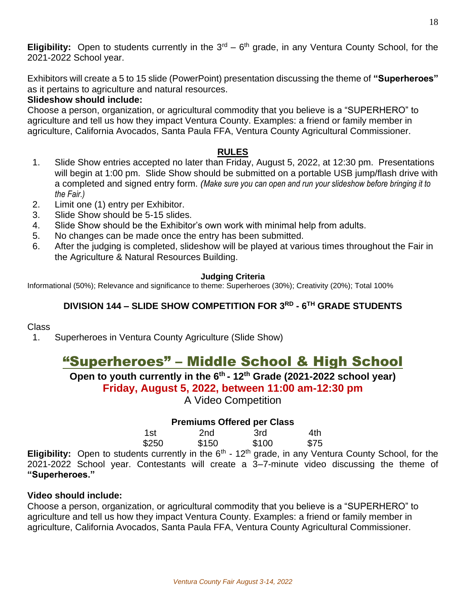Exhibitors will create a 5 to 15 slide (PowerPoint) presentation discussing the theme of **"Superheroes"** as it pertains to agriculture and natural resources.

#### **Slideshow should include:**

Choose a person, organization, or agricultural commodity that you believe is a "SUPERHERO" to agriculture and tell us how they impact Ventura County. Examples: a friend or family member in agriculture, California Avocados, Santa Paula FFA, Ventura County Agricultural Commissioner.

### **RULES**

- 1. Slide Show entries accepted no later than Friday, August 5, 2022, at 12:30 pm. Presentations will begin at 1:00 pm. Slide Show should be submitted on a portable USB jump/flash drive with a completed and signed entry form. *(Make sure you can open and run your slideshow before bringing it to the Fair.)*
- 2. Limit one (1) entry per Exhibitor.
- 3. Slide Show should be 5-15 slides.
- 4. Slide Show should be the Exhibitor's own work with minimal help from adults.
- 5. No changes can be made once the entry has been submitted.
- 6. After the judging is completed, slideshow will be played at various times throughout the Fair in the Agriculture & Natural Resources Building.

#### **Judging Criteria**

Informational (50%); Relevance and significance to theme: Superheroes (30%); Creativity (20%); Total 100%

### **DIVISION 144 – SLIDE SHOW COMPETITION FOR 3RD - 6 TH GRADE STUDENTS**

#### Class

1. Superheroes in Ventura County Agriculture (Slide Show)

# "Superheroes" – Middle School & High School

**Open to youth currently in the 6th - 12th Grade (2021-2022 school year) Friday, August 5, 2022, between 11:00 am-12:30 pm**

A Video Competition

#### **Premiums Offered per Class**

| 1st   | 2nd   | 3rd   | 4th  |
|-------|-------|-------|------|
| \$250 | \$150 | \$100 | \$75 |

**Eligibility:** Open to students currently in the 6<sup>th</sup> - 12<sup>th</sup> grade, in any Ventura County School, for the 2021-2022 School year. Contestants will create a 3–7-minute video discussing the theme of **"Superheroes."**

#### **Video should include:**

Choose a person, organization, or agricultural commodity that you believe is a "SUPERHERO" to agriculture and tell us how they impact Ventura County. Examples: a friend or family member in agriculture, California Avocados, Santa Paula FFA, Ventura County Agricultural Commissioner.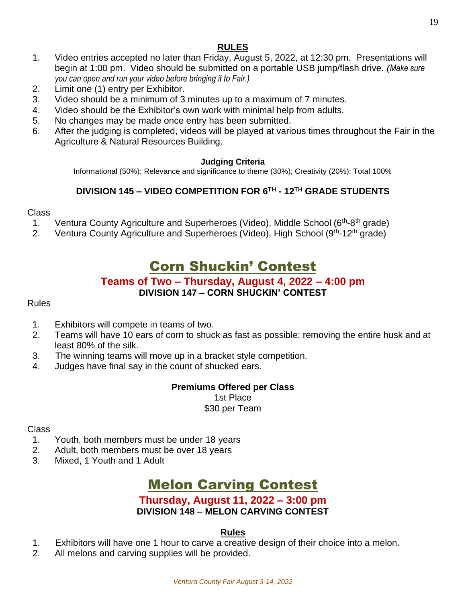### **RULES**

- 1. Video entries accepted no later than Friday, August 5, 2022, at 12:30 pm. Presentations will begin at 1:00 pm. Video should be submitted on a portable USB jump/flash drive. *(Make sure you can open and run your video before bringing it to Fair.)*
- 2. Limit one (1) entry per Exhibitor.
- 3. Video should be a minimum of 3 minutes up to a maximum of 7 minutes.
- 4. Video should be the Exhibitor's own work with minimal help from adults.
- 5. No changes may be made once entry has been submitted.
- 6. After the judging is completed, videos will be played at various times throughout the Fair in the Agriculture & Natural Resources Building.

#### **Judging Criteria**

Informational (50%); Relevance and significance to theme (30%); Creativity (20%); Total 100%

### **DIVISION 145 – VIDEO COMPETITION FOR 6TH - 12TH GRADE STUDENTS**

#### Class

- 1. Ventura County Agriculture and Superheroes (Video), Middle School (6<sup>th</sup>-8<sup>th</sup> grade)
- 2. Ventura County Agriculture and Superheroes (Video), High School (9<sup>th</sup>-12<sup>th</sup> grade)

# Corn Shuckin' Contest

#### **Teams of Two – Thursday, August 4, 2022 – 4:00 pm DIVISION 147 – CORN SHUCKIN' CONTEST**

#### Rules

- 1. Exhibitors will compete in teams of two.
- 2. Teams will have 10 ears of corn to shuck as fast as possible; removing the entire husk and at least 80% of the silk.
- 3. The winning teams will move up in a bracket style competition.
- 4. Judges have final say in the count of shucked ears.

#### **Premiums Offered per Class**

1st Place

\$30 per Team

#### Class

- 1. Youth, both members must be under 18 years
- 2. Adult, both members must be over 18 years
- 3. Mixed, 1 Youth and 1 Adult

# Melon Carving Contest

# **Thursday, August 11, 2022 – 3:00 pm**

## **DIVISION 148 – MELON CARVING CONTEST**

#### **Rules**

- 1. Exhibitors will have one 1 hour to carve a creative design of their choice into a melon.
- 2. All melons and carving supplies will be provided.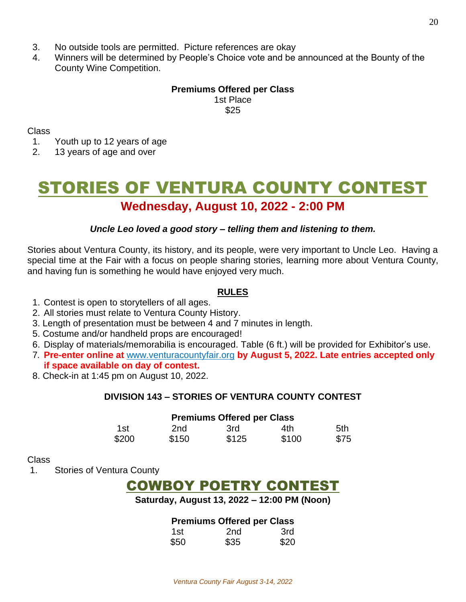- 3. No outside tools are permitted. Picture references are okay
- 4. Winners will be determined by People's Choice vote and be announced at the Bounty of the County Wine Competition.

#### **Premiums Offered per Class** 1st Place \$25

Class

1. Youth up to 12 years of age

2. 13 years of age and over

# STORIES OF VENTURA COUNTY CONTEST **Wednesday, August 10, 2022 - 2:00 PM**

#### *Uncle Leo loved a good story – telling them and listening to them.*

Stories about Ventura County, its history, and its people, were very important to Uncle Leo. Having a special time at the Fair with a focus on people sharing stories, learning more about Ventura County, and having fun is something he would have enjoyed very much.

#### **RULES**

- 1. Contest is open to storytellers of all ages.
- 2. All stories must relate to Ventura County History.
- 3. Length of presentation must be between 4 and 7 minutes in length.
- 5. Costume and/or handheld props are encouraged!
- 6. Display of materials/memorabilia is encouraged. Table (6 ft.) will be provided for Exhibitor's use.
- 7*.* **Pre-enter online at** [www.venturacountyfair.org](http://www.venturacountyfair.org/) **by August 5, 2022. Late entries accepted only if space available on day of contest.**
- 8. Check-in at 1:45 pm on August 10, 2022.

#### **DIVISION 143 – STORIES OF VENTURA COUNTY CONTEST**

|       |       | <b>Premiums Offered per Class</b> |       |      |
|-------|-------|-----------------------------------|-------|------|
| 1st   | 2nd   | 3rd                               | 4th.  | .5th |
| \$200 | \$150 | \$125                             | \$100 | \$75 |

#### Class

1. Stories of Ventura County

# COWBOY POETRY CONTEST

#### **Saturday, August 13, 2022 – 12:00 PM (Noon)**

#### **Premiums Offered per Class**

|      | .               |      |
|------|-----------------|------|
| 1st  | 2 <sub>nd</sub> | 3rd  |
| \$50 | \$35            | \$20 |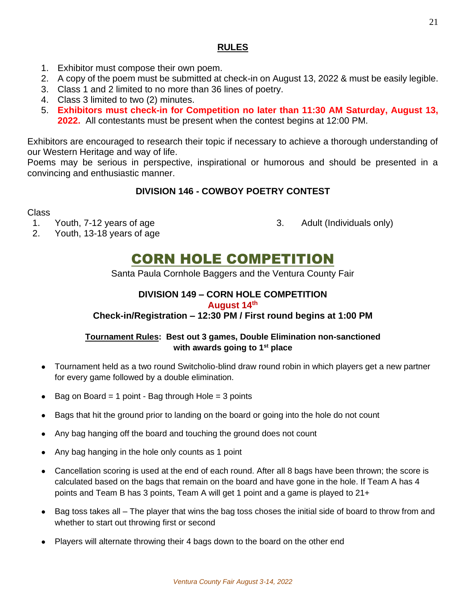#### **RULES**

- 1. Exhibitor must compose their own poem.
- 2. A copy of the poem must be submitted at check-in on August 13, 2022 & must be easily legible.
- 3. Class 1 and 2 limited to no more than 36 lines of poetry.
- 4. Class 3 limited to two (2) minutes.
- 5. **Exhibitors must check-in for Competition no later than 11:30 AM Saturday, August 13, 2022.** All contestants must be present when the contest begins at 12:00 PM.

Exhibitors are encouraged to research their topic if necessary to achieve a thorough understanding of our Western Heritage and way of life.

Poems may be serious in perspective, inspirational or humorous and should be presented in a convincing and enthusiastic manner.

### **DIVISION 146 - COWBOY POETRY CONTEST**

#### Class

- 1. Youth, 7-12 years of age 3. Adult (Individuals only)
	-

2. Youth, 13-18 years of age

# CORN HOLE COMPETITION

Santa Paula Cornhole Baggers and the Ventura County Fair

## **DIVISION 149 – CORN HOLE COMPETITION**

#### **August 14th**

#### **Check-in/Registration – 12:30 PM / First round begins at 1:00 PM**

#### **Tournament Rules: Best out 3 games, Double Elimination non-sanctioned with awards going to 1st place**

- Tournament held as a two round Switcholio-blind draw round robin in which players get a new partner for every game followed by a double elimination.
- Bag on Board = 1 point Bag through Hole = 3 points
- Bags that hit the ground prior to landing on the board or going into the hole do not count
- Any bag hanging off the board and touching the ground does not count
- Any bag hanging in the hole only counts as 1 point
- Cancellation scoring is used at the end of each round. After all 8 bags have been thrown; the score is calculated based on the bags that remain on the board and have gone in the hole. If Team A has 4 points and Team B has 3 points, Team A will get 1 point and a game is played to 21+
- Bag toss takes all The player that wins the bag toss choses the initial side of board to throw from and whether to start out throwing first or second
- Players will alternate throwing their 4 bags down to the board on the other end